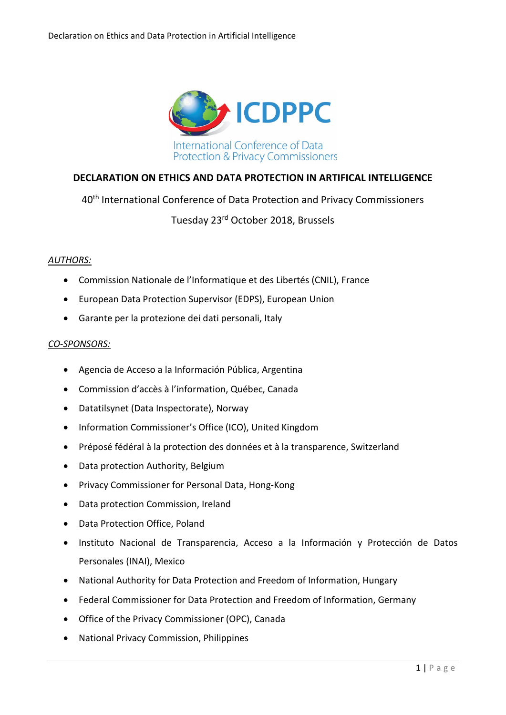

# **DECLARATION ON ETHICS AND DATA PROTECTION IN ARTIFICAL INTELLIGENCE**

40th International Conference of Data Protection and Privacy Commissioners

# Tuesday 23rd October 2018, Brussels

### *AUTHORS:*

- Commission Nationale de l'Informatique et des Libertés (CNIL), France
- European Data Protection Supervisor (EDPS), European Union
- Garante per la protezione dei dati personali, Italy

#### *CO-SPONSORS:*

- Agencia de Acceso a la Información Pública, Argentina
- Commission d'accès à l'information, Québec, Canada
- Datatilsynet (Data Inspectorate), Norway
- Information Commissioner's Office (ICO), United Kingdom
- Préposé fédéral à la protection des données et à la transparence, Switzerland
- Data protection Authority, Belgium
- Privacy Commissioner for Personal Data, Hong-Kong
- Data protection Commission, Ireland
- Data Protection Office, Poland
- Instituto Nacional de Transparencia, Acceso a la Información y Protección de Datos Personales (INAI), Mexico
- National Authority for Data Protection and Freedom of Information, Hungary
- Federal Commissioner for Data Protection and Freedom of Information, Germany
- Office of the Privacy Commissioner (OPC), Canada
- National Privacy Commission, Philippines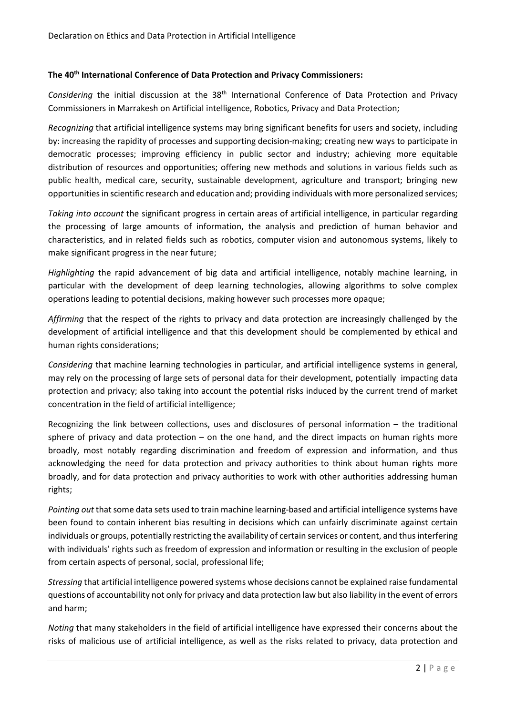#### **The 40th International Conference of Data Protection and Privacy Commissioners:**

*Considering* the initial discussion at the 38<sup>th</sup> International Conference of Data Protection and Privacy Commissioners in Marrakesh on Artificial intelligence, Robotics, Privacy and Data Protection;

*Recognizing* that artificial intelligence systems may bring significant benefits for users and society, including by: increasing the rapidity of processes and supporting decision-making; creating new ways to participate in democratic processes; improving efficiency in public sector and industry; achieving more equitable distribution of resources and opportunities; offering new methods and solutions in various fields such as public health, medical care, security, sustainable development, agriculture and transport; bringing new opportunities in scientific research and education and; providing individuals with more personalized services;

*Taking into account* the significant progress in certain areas of artificial intelligence, in particular regarding the processing of large amounts of information, the analysis and prediction of human behavior and characteristics, and in related fields such as robotics, computer vision and autonomous systems, likely to make significant progress in the near future;

*Highlighting* the rapid advancement of big data and artificial intelligence, notably machine learning, in particular with the development of deep learning technologies, allowing algorithms to solve complex operations leading to potential decisions, making however such processes more opaque;

*Affirming* that the respect of the rights to privacy and data protection are increasingly challenged by the development of artificial intelligence and that this development should be complemented by ethical and human rights considerations;

*Considering* that machine learning technologies in particular, and artificial intelligence systems in general, may rely on the processing of large sets of personal data for their development, potentially impacting data protection and privacy; also taking into account the potential risks induced by the current trend of market concentration in the field of artificial intelligence;

Recognizing the link between collections, uses and disclosures of personal information – the traditional sphere of privacy and data protection – on the one hand, and the direct impacts on human rights more broadly, most notably regarding discrimination and freedom of expression and information, and thus acknowledging the need for data protection and privacy authorities to think about human rights more broadly, and for data protection and privacy authorities to work with other authorities addressing human rights;

Pointing out that some data sets used to train machine learning-based and artificial intelligence systems have been found to contain inherent bias resulting in decisions which can unfairly discriminate against certain individuals or groups, potentially restricting the availability of certain services or content, and thus interfering with individuals' rights such as freedom of expression and information or resulting in the exclusion of people from certain aspects of personal, social, professional life;

*Stressing* that artificial intelligence powered systems whose decisions cannot be explained raise fundamental questions of accountability not only for privacy and data protection law but also liability in the event of errors and harm;

*Noting* that many stakeholders in the field of artificial intelligence have expressed their concerns about the risks of malicious use of artificial intelligence, as well as the risks related to privacy, data protection and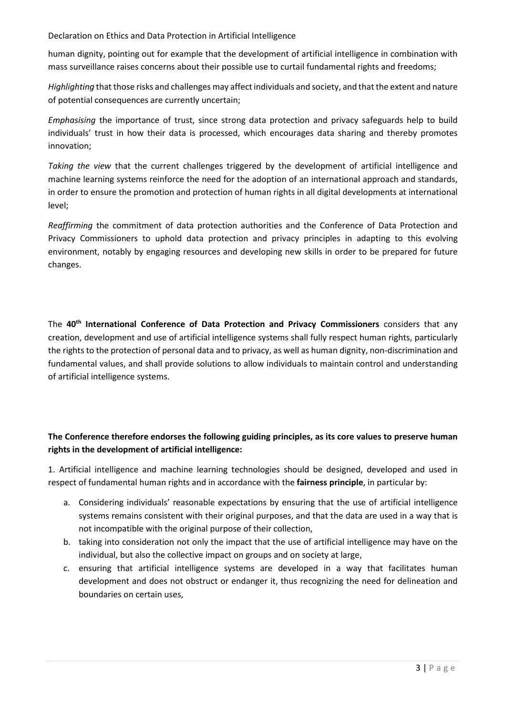Declaration on Ethics and Data Protection in Artificial Intelligence

human dignity, pointing out for example that the development of artificial intelligence in combination with mass surveillance raises concerns about their possible use to curtail fundamental rights and freedoms;

*Highlighting* that those risks and challenges may affectindividuals and society, and that the extent and nature of potential consequences are currently uncertain;

*Emphasising* the importance of trust, since strong data protection and privacy safeguards help to build individuals' trust in how their data is processed, which encourages data sharing and thereby promotes innovation;

*Taking the view* that the current challenges triggered by the development of artificial intelligence and machine learning systems reinforce the need for the adoption of an international approach and standards, in order to ensure the promotion and protection of human rights in all digital developments at international level;

*Reaffirming* the commitment of data protection authorities and the Conference of Data Protection and Privacy Commissioners to uphold data protection and privacy principles in adapting to this evolving environment, notably by engaging resources and developing new skills in order to be prepared for future changes.

The **40th International Conference of Data Protection and Privacy Commissioners** considers that any creation, development and use of artificial intelligence systems shall fully respect human rights, particularly the rights to the protection of personal data and to privacy, as well as human dignity, non-discrimination and fundamental values, and shall provide solutions to allow individuals to maintain control and understanding of artificial intelligence systems.

## **The Conference therefore endorses the following guiding principles, as its core values to preserve human rights in the development of artificial intelligence:**

1. Artificial intelligence and machine learning technologies should be designed, developed and used in respect of fundamental human rights and in accordance with the **fairness principle**, in particular by:

- a. Considering individuals' reasonable expectations by ensuring that the use of artificial intelligence systems remains consistent with their original purposes, and that the data are used in a way that is not incompatible with the original purpose of their collection,
- b. taking into consideration not only the impact that the use of artificial intelligence may have on the individual, but also the collective impact on groups and on society at large,
- c. ensuring that artificial intelligence systems are developed in a way that facilitates human development and does not obstruct or endanger it, thus recognizing the need for delineation and boundaries on certain uses,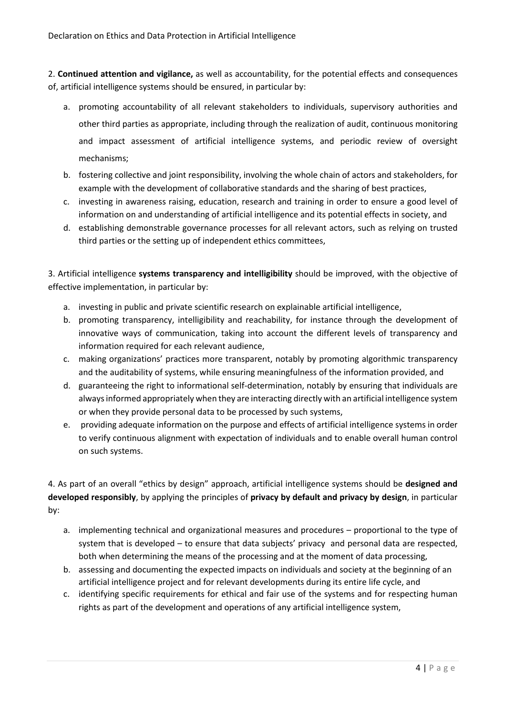2. **Continued attention and vigilance,** as well as accountability, for the potential effects and consequences of, artificial intelligence systems should be ensured, in particular by:

- a. promoting accountability of all relevant stakeholders to individuals, supervisory authorities and other third parties as appropriate, including through the realization of audit, continuous monitoring and impact assessment of artificial intelligence systems, and periodic review of oversight mechanisms;
- b. fostering collective and joint responsibility, involving the whole chain of actors and stakeholders, for example with the development of collaborative standards and the sharing of best practices,
- c. investing in awareness raising, education, research and training in order to ensure a good level of information on and understanding of artificial intelligence and its potential effects in society, and
- d. establishing demonstrable governance processes for all relevant actors, such as relying on trusted third parties or the setting up of independent ethics committees,

3. Artificial intelligence **systems transparency and intelligibility** should be improved, with the objective of effective implementation, in particular by:

- a. investing in public and private scientific research on explainable artificial intelligence,
- b. promoting transparency, intelligibility and reachability, for instance through the development of innovative ways of communication, taking into account the different levels of transparency and information required for each relevant audience,
- c. making organizations' practices more transparent, notably by promoting algorithmic transparency and the auditability of systems, while ensuring meaningfulness of the information provided, and
- d. guaranteeing the right to informational self-determination, notably by ensuring that individuals are alwaysinformed appropriately when they are interacting directly with an artificial intelligence system or when they provide personal data to be processed by such systems,
- e. providing adequate information on the purpose and effects of artificial intelligence systems in order to verify continuous alignment with expectation of individuals and to enable overall human control on such systems.

4. As part of an overall "ethics by design" approach, artificial intelligence systems should be **designed and developed responsibly**, by applying the principles of **privacy by default and privacy by design**, in particular by:

- a. implementing technical and organizational measures and procedures proportional to the type of system that is developed – to ensure that data subjects' privacy and personal data are respected, both when determining the means of the processing and at the moment of data processing,
- b. assessing and documenting the expected impacts on individuals and society at the beginning of an artificial intelligence project and for relevant developments during its entire life cycle, and
- c. identifying specific requirements for ethical and fair use of the systems and for respecting human rights as part of the development and operations of any artificial intelligence system,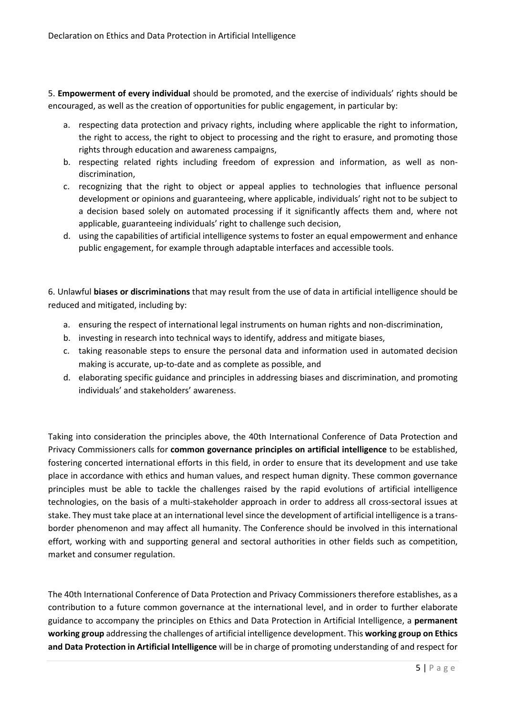5. **Empowerment of every individual** should be promoted, and the exercise of individuals' rights should be encouraged, as well as the creation of opportunities for public engagement, in particular by:

- a. respecting data protection and privacy rights, including where applicable the right to information, the right to access, the right to object to processing and the right to erasure, and promoting those rights through education and awareness campaigns,
- b. respecting related rights including freedom of expression and information, as well as nondiscrimination,
- c. recognizing that the right to object or appeal applies to technologies that influence personal development or opinions and guaranteeing, where applicable, individuals' right not to be subject to a decision based solely on automated processing if it significantly affects them and, where not applicable, guaranteeing individuals' right to challenge such decision,
- d. using the capabilities of artificial intelligence systems to foster an equal empowerment and enhance public engagement, for example through adaptable interfaces and accessible tools.

6. Unlawful **biases or discriminations** that may result from the use of data in artificial intelligence should be reduced and mitigated, including by:

- a. ensuring the respect of international legal instruments on human rights and non-discrimination,
- b. investing in research into technical ways to identify, address and mitigate biases,
- c. taking reasonable steps to ensure the personal data and information used in automated decision making is accurate, up-to-date and as complete as possible, and
- d. elaborating specific guidance and principles in addressing biases and discrimination, and promoting individuals' and stakeholders' awareness.

Taking into consideration the principles above, the 40th International Conference of Data Protection and Privacy Commissioners calls for **common governance principles on artificial intelligence** to be established, fostering concerted international efforts in this field, in order to ensure that its development and use take place in accordance with ethics and human values, and respect human dignity. These common governance principles must be able to tackle the challenges raised by the rapid evolutions of artificial intelligence technologies, on the basis of a multi-stakeholder approach in order to address all cross-sectoral issues at stake. They must take place at an international level since the development of artificial intelligence is a transborder phenomenon and may affect all humanity. The Conference should be involved in this international effort, working with and supporting general and sectoral authorities in other fields such as competition, market and consumer regulation.

The 40th International Conference of Data Protection and Privacy Commissioners therefore establishes, as a contribution to a future common governance at the international level, and in order to further elaborate guidance to accompany the principles on Ethics and Data Protection in Artificial Intelligence, a **permanent working group** addressing the challenges of artificial intelligence development. This **working group on Ethics and Data Protection in Artificial Intelligence** will be in charge of promoting understanding of and respect for